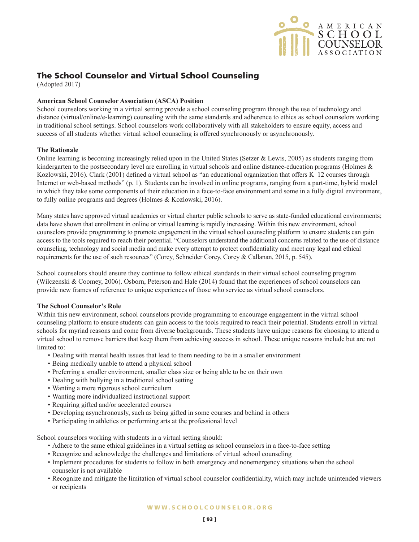

# The School Counselor and Virtual School Counseling

(Adopted 2017)

## **American School Counselor Association (ASCA) Position**

School counselors working in a virtual setting provide a school counseling program through the use of technology and distance (virtual/online/e-learning) counseling with the same standards and adherence to ethics as school counselors working in traditional school settings. School counselors work collaboratively with all stakeholders to ensure equity, access and success of all students whether virtual school counseling is offered synchronously or asynchronously.

## **The Rationale**

Online learning is becoming increasingly relied upon in the United States (Setzer & Lewis, 2005) as students ranging from kindergarten to the postsecondary level are enrolling in virtual schools and online distance-education programs (Holmes & Kozlowski, 2016). Clark (2001) defined a virtual school as "an educational organization that offers K–12 courses through Internet or web-based methods" (p. 1). Students can be involved in online programs, ranging from a part-time, hybrid model in which they take some components of their education in a face-to-face environment and some in a fully digital environment, to fully online programs and degrees (Holmes & Kozlowski, 2016).

Many states have approved virtual academies or virtual charter public schools to serve as state-funded educational environments; data have shown that enrollment in online or virtual learning is rapidly increasing. Within this new environment, school counselors provide programming to promote engagement in the virtual school counseling platform to ensure students can gain access to the tools required to reach their potential. "Counselors understand the additional concerns related to the use of distance counseling, technology and social media and make every attempt to protect confidentiality and meet any legal and ethical requirements for the use of such resources" (Corey, Schneider Corey, Corey & Callanan, 2015, p. 545).

School counselors should ensure they continue to follow ethical standards in their virtual school counseling program (Wilczenski & Coomey, 2006). Osborn, Peterson and Hale (2014) found that the experiences of school counselors can provide new frames of reference to unique experiences of those who service as virtual school counselors.

## **The School Counselor's Role**

Within this new environment, school counselors provide programming to encourage engagement in the virtual school counseling platform to ensure students can gain access to the tools required to reach their potential. Students enroll in virtual schools for myriad reasons and come from diverse backgrounds. These students have unique reasons for choosing to attend a virtual school to remove barriers that keep them from achieving success in school. These unique reasons include but are not limited to:

- Dealing with mental health issues that lead to them needing to be in a smaller environment
- Being medically unable to attend a physical school
- Preferring a smaller environment, smaller class size or being able to be on their own
- • Dealing with bullying in a traditional school setting
- Wanting a more rigorous school curriculum
- • Wanting more individualized instructional support
- Requiring gifted and/or accelerated courses
- Developing asynchronously, such as being gifted in some courses and behind in others
- Participating in athletics or performing arts at the professional level

School counselors working with students in a virtual setting should:

- Adhere to the same ethical guidelines in a virtual setting as school counselors in a face-to-face setting
- • Recognize and acknowledge the challenges and limitations of virtual school counseling
- Implement procedures for students to follow in both emergency and nonemergency situations when the school counselor is not available
- • Recognize and mitigate the limitation of virtual school counselor confidentiality, which may include unintended viewers or recipients